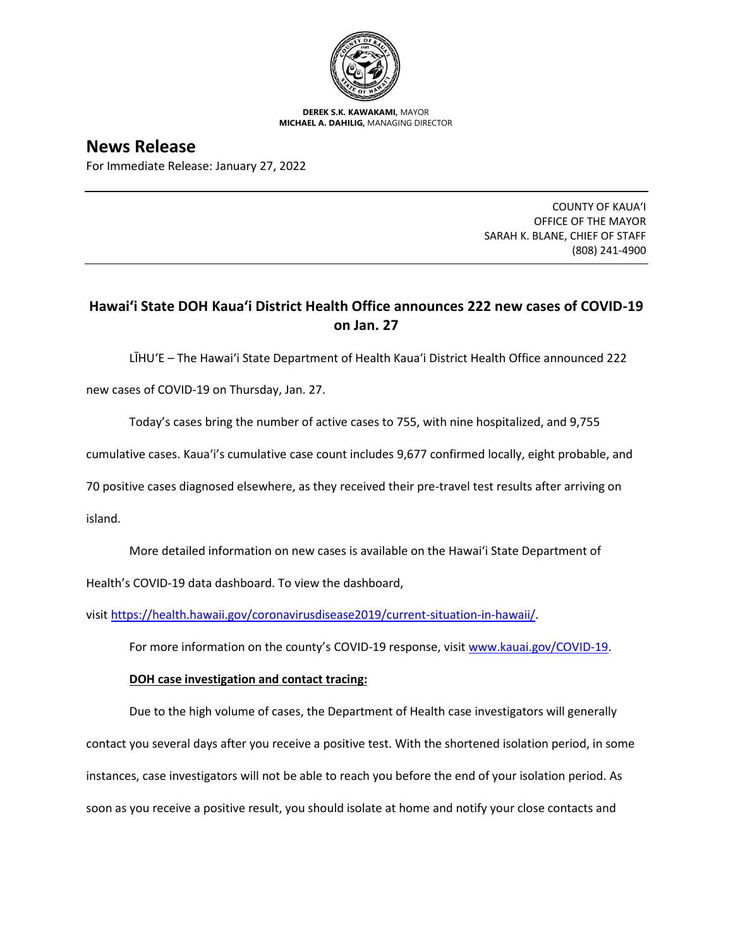

**DEREK S.K. KAWAKAMI,** MAYOR **MICHAEL A. DAHILIG,** MANAGING DIRECTOR

# **News Release**

For Immediate Release: January 27, 2022

COUNTY OF KAUA'I OFFICE OF THE MAYOR SARAH K. BLANE, CHIEF OF STAFF (808) 241-4900

## **Hawai'i State DOH Kaua'i District Health Office announces 222 new cases of COVID-19 on Jan. 27**

LĪHU'E – The Hawai'i State Department of Health Kaua'i District Health Office announced 222

new cases of COVID-19 on Thursday, Jan. 27.

Today's cases bring the number of active cases to 755, with nine hospitalized, and 9,755

cumulative cases. Kaua'i's cumulative case count includes 9,677 confirmed locally, eight probable, and

70 positive cases diagnosed elsewhere, as they received their pre-travel test results after arriving on

island.

More detailed information on new cases is available on the Hawai'i State Department of

Health's COVID-19 data dashboard. To view the dashboard,

visit [https://health.hawaii.gov/coronavirusdisease2019/current-situation-in-hawaii/.](https://health.hawaii.gov/coronavirusdisease2019/current-situation-in-hawaii/)

For more information on the county's COVID-19 response, visit [www.kauai.gov/COVID-19.](https://urldefense.com/v3/__http:/www.kauai.gov/COVID-19__;!!LIYSdFfckKA!l4A5nHuw73q2ubt1jVfVpBxrgAoeT-qm9LHA2X0eDo7DmU1d8EztTez1J2SRjWo05uCKvMiUtA$)

### **DOH case investigation and contact tracing:**

Due to the high volume of cases, the Department of Health case investigators will generally contact you several days after you receive a positive test. With the shortened isolation period, in some instances, case investigators will not be able to reach you before the end of your isolation period. As soon as you receive a positive result, you should isolate at home and notify your close contacts and